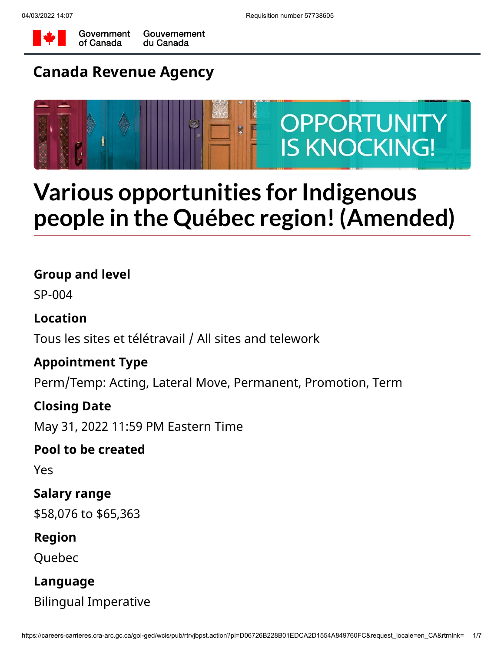



Government Gouvernement of Canada du Canada

# **Canada Revenue Agency**



# **Various opportunities for Indigenous people in the Québec region! (Amended)**

## **Group and level**

SP-004

# **Location**

Tous les sites et télétravail / All sites and telework

# **Appointment Type**

Perm/Temp: Acting, Lateral Move, Permanent, Promotion, Term

## **Closing Date**

May 31, 2022 11:59 PM Eastern Time

## **Pool to be created**

Yes

## **Salary range**

\$58,076 to \$65,363

## **Region**

Quebec

## **Language**

Bilingual Imperative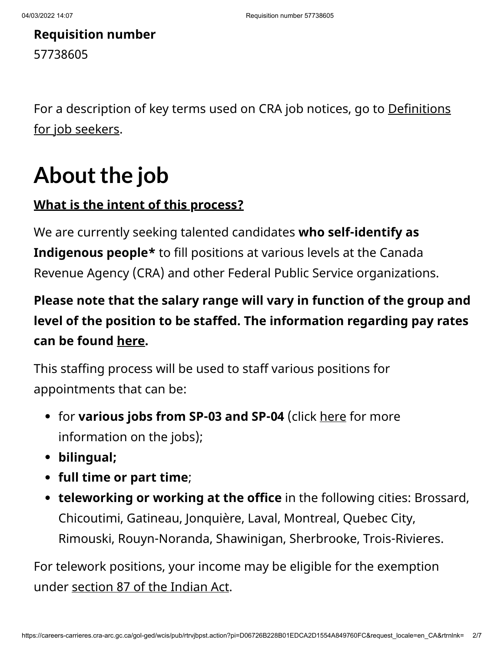# **Requisition number** 57738605

[For a description of key terms used on CRA job notices, go to Definitions](https://www.canada.ca/en/revenue-agency/corporate/careers-cra/browse-job-types/definitions-job-seekers.html) for job seekers.

# About the job

# **What is the intent of this process?**

We are currently seeking talented candidates **who self-identify as Indigenous people\*** to fill positions at various levels at the Canada Revenue Agency (CRA) and other Federal Public Service organizations.

# **Please note that the salary range will vary in function of the group and level of the position to be staffed. The information regarding pay rates can be found [here](https://www.canada.ca/en/revenue-agency/corporate/careers-cra/information-moved/pay-rates.html).**

This staffing process will be used to staff various positions for appointments that can be:

- for **various jobs from SP-03 and SP-04** (click [here](http://www.canada.ca/en/revenue-agency/corporate/careers-cra/browse-job-types.html) for more information on the jobs);
- **bilingual;**
- **full time or part time**;
- **teleworking or working at the office** in the following cities: Brossard, Chicoutimi, Gatineau, Jonquière, Laval, Montreal, Quebec City, Rimouski, Rouyn-Noranda, Shawinigan, Sherbrooke, Trois-Rivieres.

For telework positions, your income may be eligible for the exemption under [section 87 of the Indian Act.](https://www.canada.ca/en/revenue-agency/services/aboriginal-peoples/information-indians.html)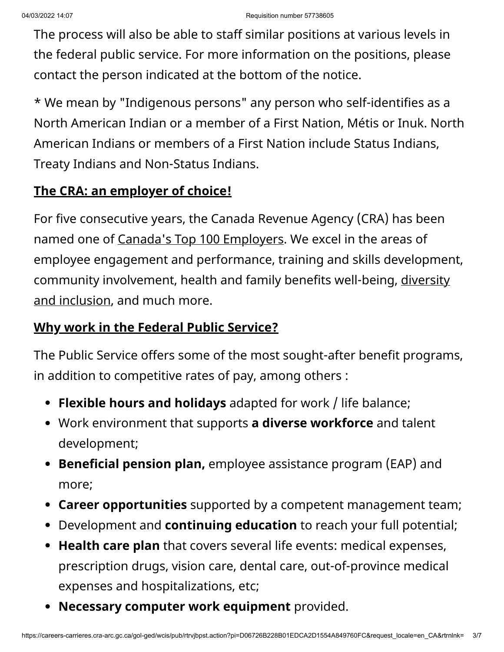The process will also be able to staff similar positions at various levels in the federal public service. For more information on the positions, please contact the person indicated at the bottom of the notice.

\* We mean by "Indigenous persons" any person who self-identifies as a North American Indian or a member of a First Nation, Métis or Inuk. North American Indians or members of a First Nation include Status Indians, Treaty Indians and Non-Status Indians.

# **The CRA: an employer of choice!**

For five consecutive years, the Canada Revenue Agency (CRA) has been named one of Canada['s Top 100 Employers.](https://www.canada.ca/en/revenue-agency/corporate/careers-cra/careers-cra-1-why-work-us.html/t_blank) We excel in the areas of employee engagement and performance, training and skills development, [community involvement, health and family benefits well-being, diversity](https://www.canada.ca/en/revenue-agency/corporate/careers-cra/employment-equity-diversity-inclusion/employment-equity-diversity-cra.html) and inclusion, and much more.

## **Why work in the Federal Public Service?**

The Public Service offers some of the most sought-after benefit programs, in addition to competitive rates of pay, among others :

- **Flexible hours and holidays** adapted for work / life balance;
- Work environment that supports **a diverse workforce** and talent development;
- **Beneficial pension plan,** employee assistance program (EAP) and more;
- **Career opportunities** supported by a competent management team;
- Development and **continuing education** to reach your full potential;
- **Health care plan** that covers several life events: medical expenses, prescription drugs, vision care, dental care, out-of-province medical expenses and hospitalizations, etc;
- **Necessary computer work equipment** provided.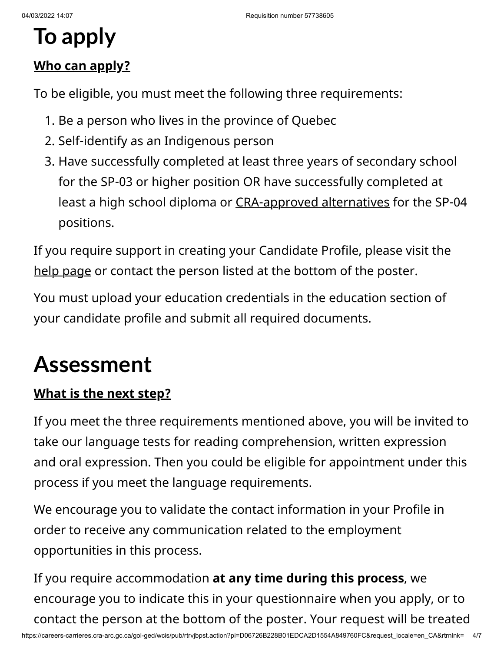# **To apply**

# **Who can apply?**

To be eligible, you must meet the following three requirements:

- 1. Be a person who lives in the province of Quebec
- 2. Self-identify as an Indigenous person
- 3. Have successfully completed at least three years of secondary school for the SP-03 or higher position OR have successfully completed at least a high school diploma or [CRA-approved alternatives](https://www.canada.ca/en/revenue-agency/corporate/careers-cra/browse-job-types/cra-s-minimum-education-standards.html#craapprvd) for the SP-04 positions.

If you require support in creating your Candidate Profile, please visit the [help page](https://www.canada.ca/en/revenue-agency/corporate/careers-cra/browse-job-types/register-careers-cra.html) or contact the person listed at the bottom of the poster.

You must upload your education credentials in the education section of your candidate profile and submit all required documents.

# **Assessment**

# **What is the next step?**

If you meet the three requirements mentioned above, you will be invited to take our language tests for reading comprehension, written expression and oral expression. Then you could be eligible for appointment under this process if you meet the language requirements.

We encourage you to validate the contact information in your Profile in order to receive any communication related to the employment opportunities in this process.

If you require accommodation **at any time during this process**, we encourage you to indicate this in your questionnaire when you apply, or to contact the person at the bottom of the poster. Your request will be treated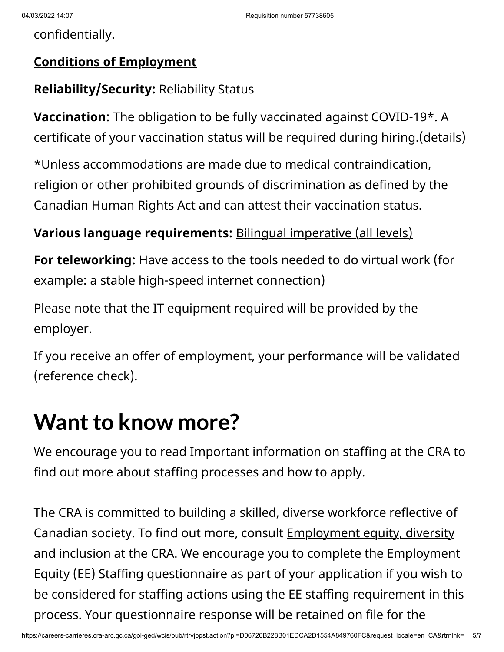confidentially.

## **Conditions of Employment**

# **Reliability/Security:** Reliability Status

**Vaccination:** The obligation to be fully vaccinated against COVID-19\*. A certificate of your vaccination status will be required during hiring.[\(details\)](https://www.canada.ca/en/treasury-board-secretariat/news/2021/10/backgrounder-covid-19-vaccine-requirement-for-the-federal-workforce.html/t_blank/ohttps://www.canada.ca/fr/secretariat-conseil-tresor/nouvelles/2021/10/document-dinformation--exigence-de-vaccination-contre-la-covid-19-pour-les-fonctionnaires-federaux.html)

\*Unless accommodations are made due to medical contraindication, religion or other prohibited grounds of discrimination as defined by the Canadian Human Rights Act and can attest their vaccination status.

## **Various language requirements:** [Bilingual imperative \(all levels\)](https://www.canada.ca/en/public-service-commission/services/second-language-testing-public-service.html)

**For teleworking:** Have access to the tools needed to do virtual work (for example: a stable high-speed internet connection)

Please note that the IT equipment required will be provided by the employer.

If you receive an offer of employment, your performance will be validated (reference check).

# **Want to know more?**

We encourage you to read [Important information on staffing at the CRA](https://www.canada.ca/en/revenue-agency/corporate/careers-cra/browse-job-types/general-information-on-staffing-cra-formerly-called-tips-applying-online.html) to find out more about staffing processes and how to apply.

The CRA is committed to building a skilled, diverse workforce reflective of Canadian society. To find out more, consult **Employment equity, diversity** and inclusion at the CRA. We encourage you to complete the Employment Equity (EE) Staffing questionnaire as part of your application if you wish to be considered for staffing actions using the EE staffing requirement in this process. Your questionnaire response will be retained on file for the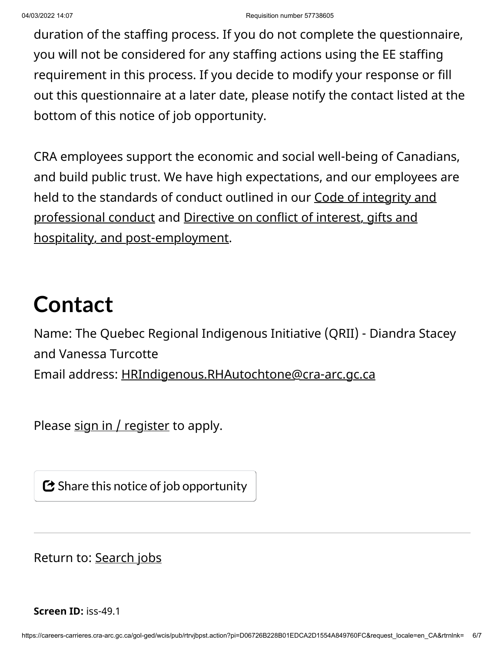duration of the staffing process. If you do not complete the questionnaire, you will not be considered for any staffing actions using the EE staffing requirement in this process. If you decide to modify your response or fill out this questionnaire at a later date, please notify the contact listed at the bottom of this notice of job opportunity.

CRA employees support the economic and social well-being of Canadians, and build public trust. We have high expectations, and our employees are [held to the standards of conduct outlined in our Code of integrity and](https://www.canada.ca/en/revenue-agency/corporate/careers-cra/information-moved/code-integrity-professional-conduct-we-work.html) [professional conduct and Directive on conflict of interest, gifts and](https://www.canada.ca/en/revenue-agency/corporate/careers-cra/information-moved/directive-on-conflict-interest-gifts-hospitality-post-employment.html) hospitality, and post-employment.

# **Contact**

Name: The Quebec Regional Indigenous Initiative (QRII) - Diandra Stacey and Vanessa Turcotte Email address: [HRIndigenous.RHAutochtone@cra-arc.gc.ca](mailto:HRIndigenous.RHAutochtone@cra-arc.gc.ca?subject=57738605%20process)

Please  $sign in / register$  to apply.

 $\bm{\mathbf{\mathcal{C}}}$  Share this notice of job opportunity

Return to: [Search jobs](https://careers-carrieres.cra-arc.gc.ca/gol-ged/wcis/pub/rtrvjbsrch.action)

**Screen ID:** iss-49.1